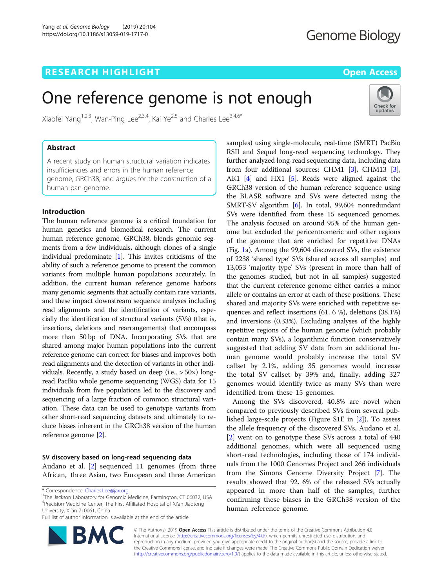# **RESEARCH HIGHLIGHT CONSUMING THE OPEN ACCESS**

Check for updates

# One reference genome is not enough

Xiaofei Yang<sup>1,2,3</sup>, Wan-Ping Lee<sup>2,3,4</sup>, Kai Ye<sup>2,5</sup> and Charles Lee<sup>3,4,6\*</sup>

# Abstract

A recent study on human structural variation indicates insufficiencies and errors in the human reference genome, GRCh38, and argues for the construction of a human pan-genome.

# Introduction

The human reference genome is a critical foundation for human genetics and biomedical research. The current human reference genome, GRCh38, blends genomic segments from a few individuals, although clones of a single individual predominate [[1](#page-2-0)]. This invites criticisms of the ability of such a reference genome to present the common variants from multiple human populations accurately. In addition, the current human reference genome harbors many genomic segments that actually contain rare variants, and these impact downstream sequence analyses including read alignments and the identification of variants, especially the identification of structural variants (SVs) (that is, insertions, deletions and rearrangements) that encompass more than 50 bp of DNA. Incorporating SVs that are shared among major human populations into the current reference genome can correct for biases and improves both read alignments and the detection of variants in other individuals. Recently, a study based on deep (i.e.,  $> 50 \times$ ) longread PacBio whole genome sequencing (WGS) data for 15 individuals from five populations led to the discovery and sequencing of a large fraction of common structural variation. These data can be used to genotype variants from other short-read sequencing datasets and ultimately to reduce biases inherent in the GRCh38 version of the human reference genome [[2](#page-2-0)].

# SV discovery based on long-read sequencing data Audano et al. [[2\]](#page-2-0) sequenced 11 genomes (from three

African, three Asian, two European and three American

 $3$ The Jackson Laboratory for Genomic Medicine, Farmington, CT 06032, USA 4 Precision Medicine Center, The First Affiliated Hospital of Xi'an Jiaotong University, Xi'an 710061, China

Full list of author information is available at the end of the article



samples) using single-molecule, real-time (SMRT) PacBio RSII and Sequel long-read sequencing technology. They further analyzed long-read sequencing data, including data from four additional sources: CHM1 [[3](#page-2-0)], CHM13 [[3](#page-2-0)], AK1 [\[4\]](#page-2-0) and HX1 [\[5](#page-2-0)]. Reads were aligned against the GRCh38 version of the human reference sequence using the BLASR software and SVs were detected using the SMRT-SV algorithm [[6](#page-2-0)]. In total, 99,604 nonredundant SVs were identified from these 15 sequenced genomes. The analysis focused on around 95% of the human genome but excluded the pericentromeric and other regions of the genome that are enriched for repetitive DNAs (Fig. [1a](#page-1-0)). Among the 99,604 discovered SVs, the existence of 2238 'shared type' SVs (shared across all samples) and 13,053 'majority type' SVs (present in more than half of the genomes studied, but not in all samples) suggested that the current reference genome either carries a minor allele or contains an error at each of these positions. These shared and majority SVs were enriched with repetitive sequences and reflect insertions (61. 6 %), deletions (38.1%) and inversions (0.33%). Excluding analyses of the highly repetitive regions of the human genome (which probably contain many SVs), a logarithmic function conservatively suggested that adding SV data from an additional human genome would probably increase the total SV callset by 2.1%, adding 35 genomes would increase the total SV callset by 39% and, finally, adding 327 genomes would identify twice as many SVs than were identified from these 15 genomes.

Among the SVs discovered, 40.8% are novel when compared to previously described SVs from several published large-scale projects (Figure S1E in [[2\]](#page-2-0)). To assess the allele frequency of the discovered SVs, Audano et al. [[2\]](#page-2-0) went on to genotype these SVs across a total of 440 additional genomes, which were all sequenced using short-read technologies, including those of 174 individuals from the 1000 Genomes Project and 266 individuals from the Simons Genome Diversity Project [\[7](#page-2-0)]. The results showed that 92. 6% of the released SVs actually appeared in more than half of the samples, further confirming these biases in the GRCh38 version of the human reference genome.

© The Author(s). 2019 **Open Access** This article is distributed under the terms of the Creative Commons Attribution 4.0 International License [\(http://creativecommons.org/licenses/by/4.0/](http://creativecommons.org/licenses/by/4.0/)), which permits unrestricted use, distribution, and reproduction in any medium, provided you give appropriate credit to the original author(s) and the source, provide a link to the Creative Commons license, and indicate if changes were made. The Creative Commons Public Domain Dedication waiver [\(http://creativecommons.org/publicdomain/zero/1.0/](http://creativecommons.org/publicdomain/zero/1.0/)) applies to the data made available in this article, unless otherwise stated.

<sup>\*</sup> Correspondence: [Charles.Lee@jax.org](mailto:Charles.Lee@jax.org) <sup>3</sup>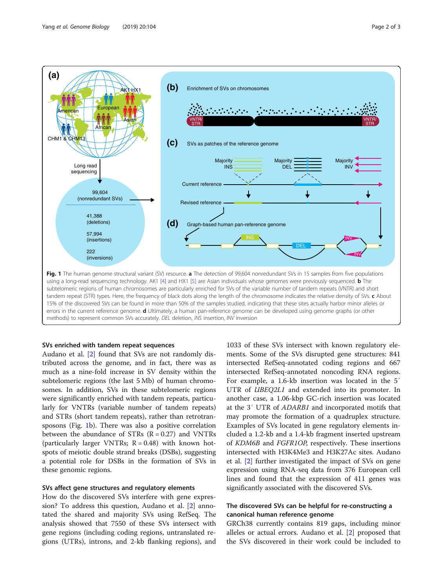<span id="page-1-0"></span>

## SVs enriched with tandem repeat sequences

Audano et al. [\[2](#page-2-0)] found that SVs are not randomly distributed across the genome, and in fact, there was as much as a nine-fold increase in SV density within the subtelomeric regions (the last 5 Mb) of human chromosomes. In addition, SVs in these subtelomeric regions were significantly enriched with tandem repeats, particularly for VNTRs (variable number of tandem repeats) and STRs (short tandem repeats), rather than retrotransposons (Fig. 1b). There was also a positive correlation between the abundance of STRs  $(R = 0.27)$  and VNTRs (particularly larger VNTRs;  $R = 0.48$ ) with known hotspots of meiotic double strand breaks (DSBs), suggesting a potential role for DSBs in the formation of SVs in these genomic regions.

#### SVs affect gene structures and regulatory elements

How do the discovered SVs interfere with gene expression? To address this question, Audano et al. [[2\]](#page-2-0) annotated the shared and majority SVs using RefSeq. The analysis showed that 7550 of these SVs intersect with gene regions (including coding regions, untranslated regions (UTRs), introns, and 2-kb flanking regions), and

1033 of these SVs intersect with known regulatory elements. Some of the SVs disrupted gene structures: 841 intersected RefSeq-annotated coding regions and 667 intersected RefSeq-annotated noncoding RNA regions. For example, a 1.6-kb insertion was located in the 5′ UTR of *UBEQ2L1* and extended into its promoter. In another case, a 1.06-kbp GC-rich insertion was located at the 3′ UTR of ADARB1 and incorporated motifs that may promote the formation of a quadruplex structure. Examples of SVs located in gene regulatory elements included a 1.2-kb and a 1.4-kb fragment inserted upstream of KDM6B and FGFR1OP, respectively. These insertions intersected with H3K4Me3 and H3K27Ac sites. Audano et al. [[2\]](#page-2-0) further investigated the impact of SVs on gene expression using RNA-seq data from 376 European cell lines and found that the expression of 411 genes was significantly associated with the discovered SVs.

# The discovered SVs can be helpful for re-constructing a canonical human reference genome

GRCh38 currently contains 819 gaps, including minor alleles or actual errors. Audano et al. [[2\]](#page-2-0) proposed that the SVs discovered in their work could be included to